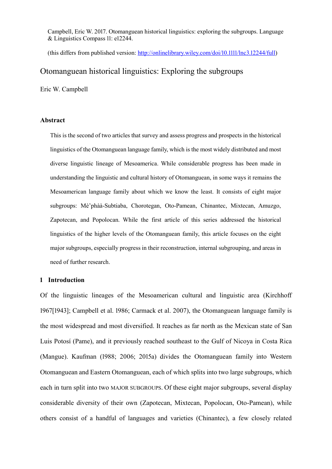Campbell, Eric W. 2017. Otomanguean historical linguistics: exploring the subgroups. Language & Linguistics Compass 11: e12244.

(this differs from published version: [http://onlinelibrary.wiley.com/doi/10.1111/lnc3.12244/full\)](http://onlinelibrary.wiley.com/doi/10.1111/lnc3.12244/full)

# Otomanguean historical linguistics: Exploring the subgroups

Eric W. Campbell

#### **Abstract**

This is the second of two articles that survey and assess progress and prospects in the historical linguistics of the Otomanguean language family, which is the most widely distributed and most diverse linguistic lineage of Mesoamerica. While considerable progress has been made in understanding the linguistic and cultural history of Otomanguean, in some ways it remains the Mesoamerican language family about which we know the least. It consists of eight major subgroups: Mè'phàà-Subtiaba, Chorotegan, Oto-Pamean, Chinantec, Mixtecan, Amuzgo, Zapotecan, and Popolocan. While the first article of this series addressed the historical linguistics of the higher levels of the Otomanguean family, this article focuses on the eight major subgroups, especially progress in their reconstruction, internal subgrouping, and areas in need of further research.

#### **1 Introduction**

Of the linguistic lineages of the Mesoamerican cultural and linguistic area (Kirchhoff 1967[1943]; Campbell et al. 1986; Carmack et al. 2007), the Otomanguean language family is the most widespread and most diversified. It reaches as far north as the Mexican state of San Luis Potosí (Pame), and it previously reached southeast to the Gulf of Nicoya in Costa Rica (Mangue). Kaufman (1988; 2006; 2015a) divides the Otomanguean family into Western Otomanguean and Eastern Otomanguean, each of which splits into two large subgroups, which each in turn split into two MAJOR SUBGROUPS. Of these eight major subgroups, several display considerable diversity of their own (Zapotecan, Mixtecan, Popolocan, Oto-Pamean), while others consist of a handful of languages and varieties (Chinantec), a few closely related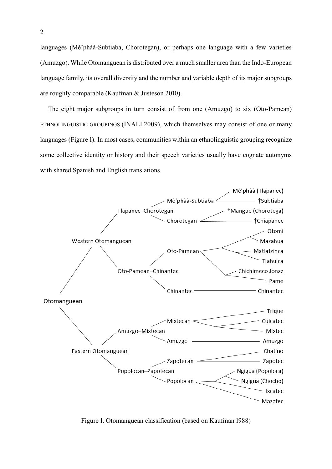languages (Mè'phàà-Subtiaba, Chorotegan), or perhaps one language with a few varieties (Amuzgo). While Otomanguean is distributed over a much smaller area than the Indo-European language family, its overall diversity and the number and variable depth of its major subgroups are roughly comparable (Kaufman & Justeson 2010).

The eight major subgroups in turn consist of from one (Amuzgo) to six (Oto-Pamean) ETHNOLINGUISTIC GROUPINGS (INALI 2009), which themselves may consist of one or many languages [\(Figure 1\)](#page-1-0). In most cases, communities within an ethnolinguistic grouping recognize some collective identity or history and their speech varieties usually have cognate autonyms with shared Spanish and English translations.



<span id="page-1-0"></span>Figure 1. Otomanguean classification (based on Kaufman 1988)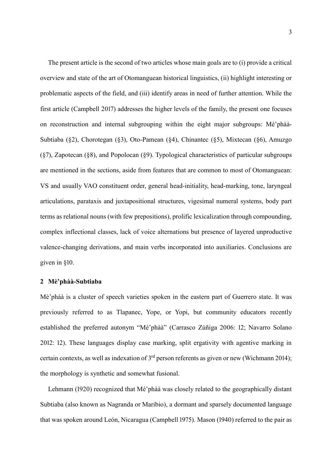The present article is the second of two articles whose main goals are to (i) provide a critical overview and state of the art of Otomanguean historical linguistics, (ii) highlight interesting or problematic aspects of the field, and (iii) identify areas in need of further attention. While the first article (Campbell 2017) addresses the higher levels of the family, the present one focuses on reconstruction and internal subgrouping within the eight major subgroups: Mè'phàà-Subtiaba ([§2\)](#page-2-0), Chorotegan ([§3\)](#page-4-0), Oto-Pamean ([§4\)](#page-5-0), Chinantec ([§5\)](#page-8-0), Mixtecan ([§6\)](#page-10-0), Amuzgo ([§7\)](#page-15-0), Zapotecan ([§8\)](#page-15-1), and Popolocan ([§9\)](#page-20-0). Typological characteristics of particular subgroups are mentioned in the sections, aside from features that are common to most of Otomanguean: VS and usually VAO constituent order, general head-initiality, head-marking, tone, laryngeal articulations, parataxis and juxtapositional structures, vigesimal numeral systems, body part terms as relational nouns (with few prepositions), prolific lexicalization through compounding, complex inflectional classes, lack of voice alternations but presence of layered unproductive valence-changing derivations, and main verbs incorporated into auxiliaries. Conclusions are given in [§10.](#page-22-0)

#### <span id="page-2-0"></span>**2 Mè'phàà-Subtiaba**

Mè'phàà is a cluster of speech varieties spoken in the eastern part of Guerrero state. It was previously referred to as Tlapanec, Yope, or Yopi, but community educators recently established the preferred autonym "Mè'phàà" (Carrasco Zúñiga 2006: 12; Navarro Solano 2012: 12). These languages display case marking, split ergativity with agentive marking in certain contexts, as well as indexation of 3rd person referents as given or new (Wichmann 2014); the morphology is synthetic and somewhat fusional.

Lehmann (1920) recognized that Mè'phàà was closely related to the geographically distant Subtiaba (also known as Nagranda or Maribio), a dormant and sparsely documented language that was spoken around León, Nicaragua (Campbell 1975). Mason (1940) referred to the pair as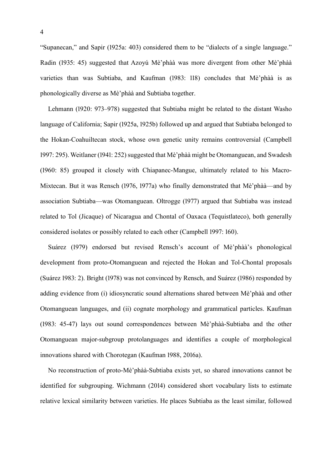"Supanecan," and Sapir (1925a: 403) considered them to be "dialects of a single language." Radin (1935: 45) suggested that Azoyú Mè'phàà was more divergent from other Mè'phàà varieties than was Subtiaba, and Kaufman (1983: 118) concludes that Mè'phàà is as phonologically diverse as Mè'phàà and Subtiaba together.

Lehmann (1920: 973–978) suggested that Subtiaba might be related to the distant Washo language of California; Sapir (1925a, 1925b) followed up and argued that Subtiaba belonged to the Hokan-Coahuiltecan stock, whose own genetic unity remains controversial (Campbell 1997: 295). Weitlaner (1941: 252) suggested that Mè'phàà might be Otomanguean, and Swadesh (1960: 85) grouped it closely with Chiapanec-Mangue, ultimately related to his Macro-Mixtecan. But it was Rensch (1976, 1977a) who finally demonstrated that Mè'phàà—and by association Subtiaba—was Otomanguean. Oltrogge (1977) argued that Subtiaba was instead related to Tol (Jicaque) of Nicaragua and Chontal of Oaxaca (Tequistlateco), both generally considered isolates or possibly related to each other (Campbell 1997: 160).

Suárez (1979) endorsed but revised Rensch's account of Mè'phàà's phonological development from proto-Otomanguean and rejected the Hokan and Tol-Chontal proposals (Suárez 1983: 2). Bright (1978) was not convinced by Rensch, and Suárez (1986) responded by adding evidence from (i) idiosyncratic sound alternations shared between Mè'phàà and other Otomanguean languages, and (ii) cognate morphology and grammatical particles. Kaufman (1983: 45-47) lays out sound correspondences between Mè'phàà-Subtiaba and the other Otomanguean major-subgroup protolanguages and identifies a couple of morphological innovations shared with Chorotegan (Kaufman 1988, 2016a).

No reconstruction of proto-Mè'phàà-Subtiaba exists yet, so shared innovations cannot be identified for subgrouping. Wichmann (2014) considered short vocabulary lists to estimate relative lexical similarity between varieties. He places Subtiaba as the least similar, followed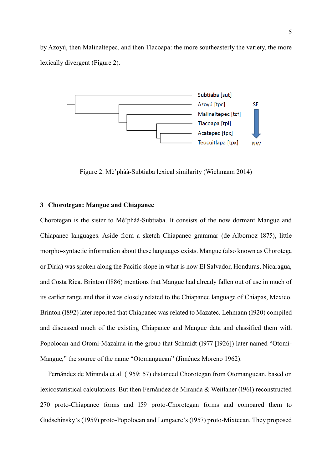by Azoyú, then Malinaltepec, and then Tlacoapa: the more southeasterly the variety, the more lexically divergent [\(Figure 2\)](#page-4-1).



Figure 2. Mè'phàà-Subtiaba lexical similarity (Wichmann 2014)

#### <span id="page-4-1"></span><span id="page-4-0"></span>**3 Chorotegan: Mangue and Chiapanec**

Chorotegan is the sister to Mè'phàà-Subtiaba. It consists of the now dormant Mangue and Chiapanec languages. Aside from a sketch Chiapanec grammar (de Albornoz 1875), little morpho-syntactic information about these languages exists. Mangue (also known as Chorotega or Diria) was spoken along the Pacific slope in what is now El Salvador, Honduras, Nicaragua, and Costa Rica. Brinton (1886) mentions that Mangue had already fallen out of use in much of its earlier range and that it was closely related to the Chiapanec language of Chiapas, Mexico. Brinton (1892) later reported that Chiapanec was related to Mazatec. Lehmann (1920) compiled and discussed much of the existing Chiapanec and Mangue data and classified them with Popolocan and Otomí-Mazahua in the group that Schmidt (1977 [1926]) later named "Otomi-Mangue," the source of the name "Otomanguean" (Jiménez Moreno 1962).

Fernández de Miranda et al. (1959: 57) distanced Chorotegan from Otomanguean, based on lexicostatistical calculations. But then Fernández de Miranda & Weitlaner (1961) reconstructed 270 proto-Chiapanec forms and 159 proto-Chorotegan forms and compared them to Gudschinsky's (1959) proto-Popolocan and Longacre's (1957) proto-Mixtecan. They proposed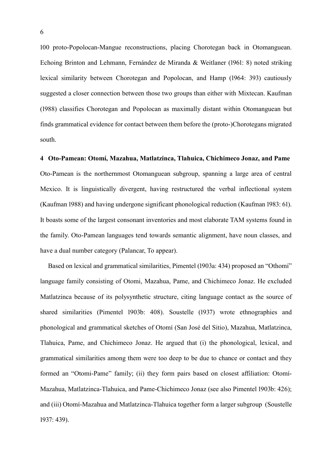100 proto-Popolocan-Mangue reconstructions, placing Chorotegan back in Otomanguean. Echoing Brinton and Lehmann, Fernández de Miranda & Weitlaner (1961: 8) noted striking lexical similarity between Chorotegan and Popolocan, and Hamp (1964: 393) cautiously suggested a closer connection between those two groups than either with Mixtecan. Kaufman (1988) classifies Chorotegan and Popolocan as maximally distant within Otomanguean but finds grammatical evidence for contact between them before the (proto-)Chorotegans migrated south.

<span id="page-5-0"></span>**4 Oto-Pamean: Otomí, Mazahua, Matlatzinca, Tlahuica, Chichimeco Jonaz, and Pame** Oto-Pamean is the northernmost Otomanguean subgroup, spanning a large area of central Mexico. It is linguistically divergent, having restructured the verbal inflectional system (Kaufman 1988) and having undergone significant phonological reduction (Kaufman 1983: 61). It boasts some of the largest consonant inventories and most elaborate TAM systems found in the family. Oto-Pamean languages tend towards semantic alignment, have noun classes, and have a dual number category (Palancar, To appear).

Based on lexical and grammatical similarities, Pimentel (1903a: 434) proposed an "Othomí" language family consisting of Otomi, Mazahua, Pame, and Chichimeco Jonaz. He excluded Matlatzinca because of its polysynthetic structure, citing language contact as the source of shared similarities (Pimentel 1903b: 408). Soustelle (1937) wrote ethnographies and phonological and grammatical sketches of Otomí (San José del Sitio), Mazahua, Matlatzinca, Tlahuica, Pame, and Chichimeco Jonaz. He argued that (i) the phonological, lexical, and grammatical similarities among them were too deep to be due to chance or contact and they formed an "Otomi-Pame" family; (ii) they form pairs based on closest affiliation: Otomí-Mazahua, Matlatzinca-Tlahuica, and Pame-Chichimeco Jonaz (see also Pimentel 1903b: 426); and (iii) Otomí-Mazahua and Matlatzinca-Tlahuica together form a larger subgroup (Soustelle 1937: 439).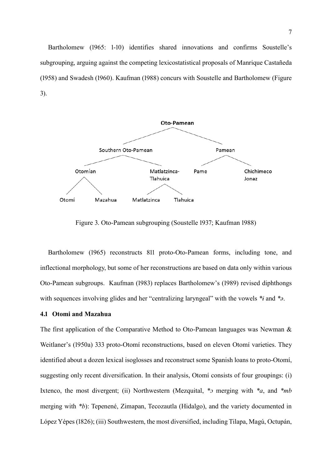Bartholomew (1965: 1-10) identifies shared innovations and confirms Soustelle's subgrouping, arguing against the competing lexicostatistical proposals of Manrique Castañeda (1958) and Swadesh (1960). Kaufman (1988) concurs with Soustelle and Bartholomew [\(Figure](#page-6-0)  [3\)](#page-6-0).



Figure 3. Oto-Pamean subgrouping (Soustelle 1937; Kaufman 1988)

<span id="page-6-0"></span>Bartholomew (1965) reconstructs 811 proto-Oto-Pamean forms, including tone, and inflectional morphology, but some of her reconstructions are based on data only within various Oto-Pamean subgroups. Kaufman (1983) replaces Bartholomew's (1989) revised diphthongs with sequences involving glides and her "centralizing laryngeal" with the vowels *\*ɨ* and *\*ə*.

# **4.1 Otomi and Mazahua**

The first application of the Comparative Method to Oto-Pamean languages was Newman & Weitlaner's (1950a) 333 proto-Otomí reconstructions, based on eleven Otomí varieties. They identified about a dozen lexical isoglosses and reconstruct some Spanish loans to proto-Otomí, suggesting only recent diversification. In their analysis, Otomí consists of four groupings: (i) Ixtenco, the most divergent; (ii) Northwestern (Mezquital, *\*ɔ* merging with *\*a*, and *\*mb* merging with *\*b*): Tepenené, Zimapan, Tecozautla (Hidalgo), and the variety documented in López Yépes (1826); (iii) Southwestern, the most diversified, including Tilapa, Magú, Octupán,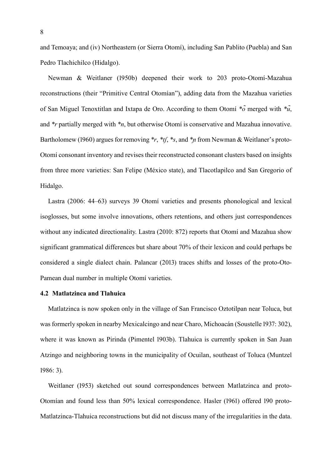and Temoaya; and (iv) Northeastern (or Sierra Otomí), including San Pablito (Puebla) and San Pedro Tlachichilco (Hidalgo).

Newman & Weitlaner (1950b) deepened their work to 203 proto-Otomí-Mazahua reconstructions (their "Primitive Central Otomían"), adding data from the Mazahua varieties of San Miguel Tenoxtitlan and Ixtapa de Oro. According to them Otomí  $*\tilde{o}$  merged with  $*\tilde{u}$ , and *\*r* partially merged with *\*n*, but otherwise Otomí is conservative and Mazahua innovative. Bartholomew (1960) argues for removing *\*r*, *\*tf*, *\*s*, and *\*n* from Newman & Weitlaner's proto-Otomí consonant inventory and revises their reconstructed consonant clusters based on insights from three more varieties: San Felipe (México state), and Tlacotlapilco and San Gregorio of Hidalgo.

Lastra (2006: 44–63) surveys 39 Otomí varieties and presents phonological and lexical isoglosses, but some involve innovations, others retentions, and others just correspondences without any indicated directionality. Lastra (2010: 872) reports that Otomí and Mazahua show significant grammatical differences but share about 70% of their lexicon and could perhaps be considered a single dialect chain. Palancar (2013) traces shifts and losses of the proto-Oto-Pamean dual number in multiple Otomí varieties.

#### **4.2 Matlatzinca and Tlahuica**

Matlatzinca is now spoken only in the village of San Francisco Oztotilpan near Toluca, but was formerly spoken in nearby Mexicalcingo and near Charo, Michoacán (Soustelle 1937: 302), where it was known as Pirinda (Pimentel 1903b). Tlahuica is currently spoken in San Juan Atzingo and neighboring towns in the municipality of Ocuilan, southeast of Toluca (Muntzel 1986: 3).

Weitlaner (1953) sketched out sound correspondences between Matlatzinca and proto-Otomían and found less than 50% lexical correspondence. Hasler (1961) offered 190 proto-Matlatzinca-Tlahuica reconstructions but did not discuss many of the irregularities in the data.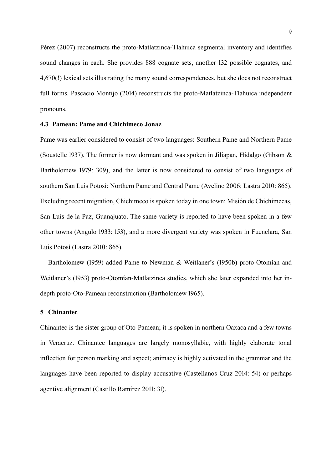Pérez (2007) reconstructs the proto-Matlatzinca-Tlahuica segmental inventory and identifies sound changes in each. She provides 888 cognate sets, another 132 possible cognates, and 4,670(!) lexical sets illustrating the many sound correspondences, but she does not reconstruct full forms. Pascacio Montijo (2014) reconstructs the proto-Matlatzinca-Tlahuica independent pronouns.

#### **4.3 Pamean: Pame and Chichimeco Jonaz**

Pame was earlier considered to consist of two languages: Southern Pame and Northern Pame (Soustelle 1937). The former is now dormant and was spoken in Jiliapan, Hidalgo (Gibson & Bartholomew 1979: 309), and the latter is now considered to consist of two languages of southern San Luis Potosí: Northern Pame and Central Pame (Avelino 2006; Lastra 2010: 865). Excluding recent migration, Chichimeco is spoken today in one town: Misión de Chichimecas, San Luis de la Paz, Guanajuato. The same variety is reported to have been spoken in a few other towns (Angulo 1933: 153), and a more divergent variety was spoken in Fuenclara, San Luis Potosí (Lastra 2010: 865).

Bartholomew (1959) added Pame to Newman & Weitlaner's (1950b) proto-Otomían and Weitlaner's (1953) proto-Otomían-Matlatzinca studies, which she later expanded into her indepth proto-Oto-Pamean reconstruction (Bartholomew 1965).

#### <span id="page-8-0"></span>**5 Chinantec**

Chinantec is the sister group of Oto-Pamean; it is spoken in northern Oaxaca and a few towns in Veracruz. Chinantec languages are largely monosyllabic, with highly elaborate tonal inflection for person marking and aspect; animacy is highly activated in the grammar and the languages have been reported to display accusative (Castellanos Cruz 2014: 54) or perhaps agentive alignment (Castillo Ramírez 2011: 31).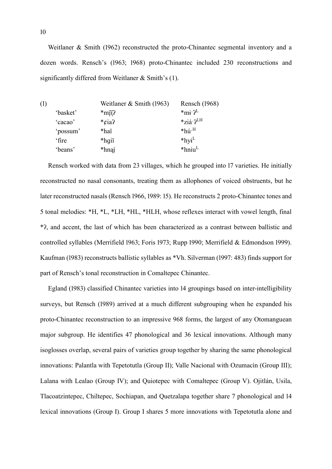Weitlaner & Smith (1962) reconstructed the proto-Chinantec segmental inventory and a dozen words. Rensch's (1963; 1968) proto-Chinantec included 230 reconstructions and significantly differed from Weitlaner & Smith's [\(1\).](#page-9-0)

<span id="page-9-0"></span>

| (1) |          | Weitlaner & Smith (1963) | Rensch (1968)                  |
|-----|----------|--------------------------|--------------------------------|
|     | 'basket' | $*$ mji?                 | $*_{m}i$ . $2^{L}$             |
|     | 'cacao'  | * $\ell$ ia?             | $*_{Z}$ já $2^L$ <sup>LH</sup> |
|     | 'possum' | *haï                     | $*h$ ú $\cdot$ <sup>H</sup>    |
|     | 'fire    | *hqii                    | $*$ hyi <sup>L</sup>           |
|     | 'beans'  | *hnąí                    | $*$ hniu <sup>L</sup>          |

Rensch worked with data from 23 villages, which he grouped into 17 varieties. He initially reconstructed no nasal consonants, treating them as allophones of voiced obstruents, but he later reconstructed nasals (Rensch 1966, 1989: 15). He reconstructs 2 proto-Chinantec tones and 5 tonal melodies: \*H, \*L, \*LH, \*HL, \*HLH, whose reflexes interact with vowel length, final \*ʔ, and accent, the last of which has been characterized as a contrast between ballistic and controlled syllables (Merrifield 1963; Foris 1973; Rupp 1990; Merrifield & Edmondson 1999). Kaufman (1983) reconstructs ballistic syllables as \*Vh. Silverman (1997: 483) finds support for part of Rensch's tonal reconstruction in Comaltepec Chinantec.

Egland (1983) classified Chinantec varieties into 14 groupings based on inter-intelligibility surveys, but Rensch (1989) arrived at a much different subgrouping when he expanded his proto-Chinantec reconstruction to an impressive 968 forms, the largest of any Otomanguean major subgroup. He identifies 47 phonological and 36 lexical innovations. Although many isoglosses overlap, several pairs of varieties group together by sharing the same phonological innovations: Palantla with Tepetotutla (Group II); Valle Nacional with Ozumacín (Group III); Lalana with Lealao (Group IV); and Quiotepec with Comaltepec (Group V). Ojitlán, Usila, Tlacoatzintepec, Chiltepec, Sochiapan, and Quetzalapa together share 7 phonological and 14 lexical innovations (Group I). Group I shares 5 more innovations with Tepetotutla alone and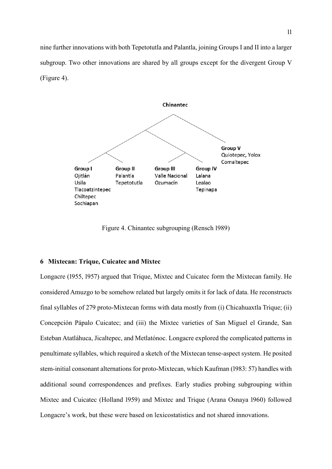nine further innovations with both Tepetotutla and Palantla, joining Groups I and II into a larger subgroup. Two other innovations are shared by all groups except for the divergent Group V [\(Figure 4\)](#page-10-1).



Figure 4. Chinantec subgrouping (Rensch 1989)

### <span id="page-10-1"></span><span id="page-10-0"></span>**6 Mixtecan: Trique, Cuicatec and Mixtec**

Longacre (1955, 1957) argued that Trique, Mixtec and Cuicatec form the Mixtecan family. He considered Amuzgo to be somehow related but largely omits it for lack of data. He reconstructs final syllables of 279 proto-Mixtecan forms with data mostly from (i) Chicahuaxtla Trique; (ii) Concepción Pápalo Cuicatec; and (iii) the Mixtec varieties of San Miguel el Grande, San Esteban Atatláhuca, Jicaltepec, and Metlatónoc. Longacre explored the complicated patterns in penultimate syllables, which required a sketch of the Mixtecan tense-aspect system. He posited stem-initial consonant alternations for proto-Mixtecan, which Kaufman (1983: 57) handles with additional sound correspondences and prefixes. Early studies probing subgrouping within Mixtec and Cuicatec (Holland 1959) and Mixtec and Trique (Arana Osnaya 1960) followed Longacre's work, but these were based on lexicostatistics and not shared innovations.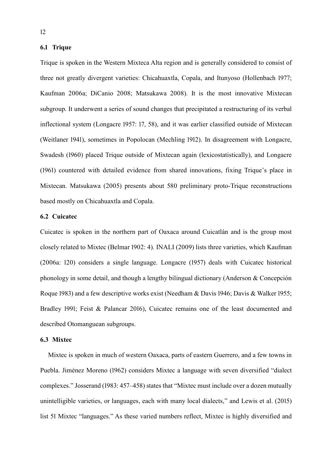# **6.1 Trique**

Trique is spoken in the Western Mixteca Alta region and is generally considered to consist of three not greatly divergent varieties: Chicahuaxtla, Copala, and Itunyoso (Hollenbach 1977; Kaufman 2006a; DiCanio 2008; Matsukawa 2008). It is the most innovative Mixtecan subgroup. It underwent a series of sound changes that precipitated a restructuring of its verbal inflectional system (Longacre 1957: 17, 58), and it was earlier classified outside of Mixtecan (Weitlaner 1941), sometimes in Popolocan (Mechling 1912). In disagreement with Longacre, Swadesh (1960) placed Trique outside of Mixtecan again (lexicostatistically), and Longacre (1961) countered with detailed evidence from shared innovations, fixing Trique's place in Mixtecan. Matsukawa (2005) presents about 580 preliminary proto-Trique reconstructions based mostly on Chicahuaxtla and Copala.

# **6.2 Cuicatec**

Cuicatec is spoken in the northern part of Oaxaca around Cuicatlán and is the group most closely related to Mixtec (Belmar 1902: 4). INALI (2009) lists three varieties, which Kaufman (2006a: 120) considers a single language. Longacre (1957) deals with Cuicatec historical phonology in some detail, and though a lengthy bilingual dictionary (Anderson & Concepción Roque 1983) and a few descriptive works exist (Needham & Davis 1946; Davis & Walker 1955; Bradley 1991; Feist & Palancar 2016), Cuicatec remains one of the least documented and described Otomanguean subgroups.

### **6.3 Mixtec**

Mixtec is spoken in much of western Oaxaca, parts of eastern Guerrero, and a few towns in Puebla. Jiménez Moreno (1962) considers Mixtec a language with seven diversified "dialect complexes." Josserand (1983: 457–458) states that "Mixtec must include over a dozen mutually unintelligible varieties, or languages, each with many local dialects," and Lewis et al. (2015) list 51 Mixtec "languages." As these varied numbers reflect, Mixtec is highly diversified and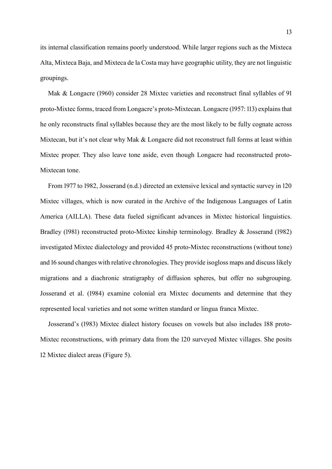its internal classification remains poorly understood. While larger regions such as the Mixteca Alta, Mixteca Baja, and Mixteca de la Costa may have geographic utility, they are not linguistic groupings.

Mak & Longacre (1960) consider 28 Mixtec varieties and reconstruct final syllables of 91 proto-Mixtec forms, traced from Longacre's proto-Mixtecan. Longacre (1957: 113) explains that he only reconstructs final syllables because they are the most likely to be fully cognate across Mixtecan, but it's not clear why Mak & Longacre did not reconstruct full forms at least within Mixtec proper. They also leave tone aside, even though Longacre had reconstructed proto-Mixtecan tone.

From 1977 to 1982, Josserand (n.d.) directed an extensive lexical and syntactic survey in 120 Mixtec villages, which is now curated in the Archive of the Indigenous Languages of Latin America (AILLA). These data fueled significant advances in Mixtec historical linguistics. Bradley (1981) reconstructed proto-Mixtec kinship terminology. Bradley & Josserand (1982) investigated Mixtec dialectology and provided 45 proto-Mixtec reconstructions (without tone) and 16 sound changes with relative chronologies. They provide isogloss maps and discuss likely migrations and a diachronic stratigraphy of diffusion spheres, but offer no subgrouping. Josserand et al. (1984) examine colonial era Mixtec documents and determine that they represented local varieties and not some written standard or lingua franca Mixtec.

Josserand's (1983) Mixtec dialect history focuses on vowels but also includes 188 proto-Mixtec reconstructions, with primary data from the 120 surveyed Mixtec villages. She posits 12 Mixtec dialect areas [\(Figure 5\)](#page-13-0).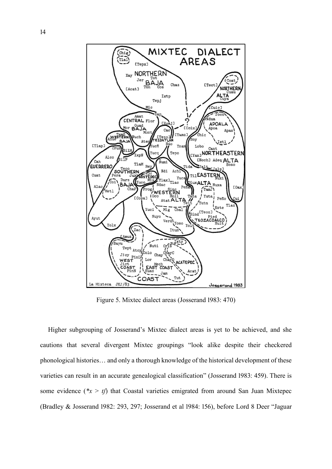

Figure 5. Mixtec dialect areas (Josserand 1983: 470)

<span id="page-13-0"></span>Higher subgrouping of Josserand's Mixtec dialect areas is yet to be achieved, and she cautions that several divergent Mixtec groupings "look alike despite their checkered phonological histories… and only a thorough knowledge of the historical development of these varieties can result in an accurate genealogical classification" (Josserand 1983: 459). There is some evidence ( $*x > t$ ) that Coastal varieties emigrated from around San Juan Mixtepec (Bradley & Josserand 1982: 293, 297; Josserand et al 1984: 156), before Lord 8 Deer "Jaguar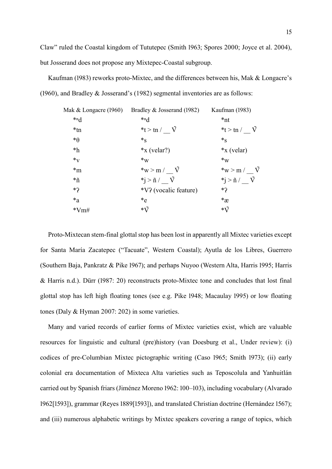Claw" ruled the Coastal kingdom of Tututepec (Smith 1963; Spores 2000; Joyce et al. 2004), but Josserand does not propose any Mixtepec-Coastal subgroup.

Kaufman (1983) reworks proto-Mixtec, and the differences between his, Mak & Longacre's (1960), and Bradley & Josserand's (1982) segmental inventories are as follows:

| Mak & Longacre (1960) | Bradley & Josserand (1982)                                         | Kaufman (1983)                 |
|-----------------------|--------------------------------------------------------------------|--------------------------------|
| $*_{n}$               | $*_{n}$                                                            | $*nt$                          |
| $*tn$                 | * $t > tn / V$                                                     | * $t > tn$ / $\vec{V}$         |
| $* \theta$            | $*_S$                                                              | $*_S$                          |
| $*h$                  | $*X$ (velar?)                                                      | $*_{X}$ (velar)                |
| $*_{\mathrm{V}}$      | $*_{\mathrm{W}}$                                                   | $*_{\mathrm{W}}$               |
| $m^*$                 | $*_{\mathrm{W}}>_{\mathrm{m}}$ / $\tilde{\mathrm{V}}$              | *w > m / $\tilde{V}$           |
| $\tilde{n}$           | $\tilde{\mathbf{n}}$ > $\tilde{\mathbf{n}}$ / $\tilde{\mathbf{V}}$ | $*j > \tilde{n}$ / $\tilde{V}$ |
| *?                    | *V? (vocalic feature)                                              | *?                             |
| $a^*a$                | $*_{e}$                                                            | $*_{\mathfrak{X}}$             |
| $*Vm#$                | $*\tilde{\mathrm{V}}$                                              | $*\tilde{\mathrm{V}}$          |
|                       |                                                                    |                                |

Proto-Mixtecan stem-final glottal stop has been lost in apparently all Mixtec varieties except for Santa María Zacatepec ("Tacuate", Western Coastal); Ayutla de los Libres, Guerrero (Southern Baja, Pankratz & Pike 1967); and perhaps Nuyoo (Western Alta, Harris 1995; Harris & Harris n.d.). Dürr (1987: 20) reconstructs proto-Mixtec tone and concludes that lost final glottal stop has left high floating tones (see e.g. Pike 1948; Macaulay 1995) or low floating tones (Daly & Hyman 2007: 202) in some varieties.

Many and varied records of earlier forms of Mixtec varieties exist, which are valuable resources for linguistic and cultural (pre)history (van Doesburg et al., Under review): (i) codices of pre-Columbian Mixtec pictographic writing (Caso 1965; Smith 1973); (ii) early colonial era documentation of Mixteca Alta varieties such as Teposcolula and Yanhuitlán carried out by Spanish friars (Jiménez Moreno 1962: 100–103), including vocabulary (Alvarado 1962[1593]), grammar (Reyes 1889[1593]), and translated Christian doctrine (Hernández 1567); and (iii) numerous alphabetic writings by Mixtec speakers covering a range of topics, which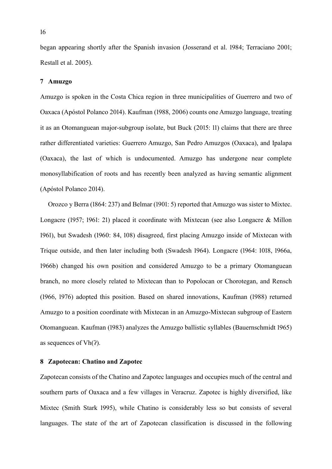began appearing shortly after the Spanish invasion (Josserand et al. 1984; Terraciano 2001; Restall et al. 2005).

#### <span id="page-15-0"></span>**7 Amuzgo**

Amuzgo is spoken in the Costa Chica region in three municipalities of Guerrero and two of Oaxaca (Apóstol Polanco 2014). Kaufman (1988, 2006) counts one Amuzgo language, treating it as an Otomanguean major-subgroup isolate, but Buck (2015: 11) claims that there are three rather differentiated varieties: Guerrero Amuzgo, San Pedro Amuzgos (Oaxaca), and Ipalapa (Oaxaca), the last of which is undocumented. Amuzgo has undergone near complete monosyllabification of roots and has recently been analyzed as having semantic alignment (Apóstol Polanco 2014).

Orozco y Berra (1864: 237) and Belmar (1901: 5) reported that Amuzgo was sister to Mixtec. Longacre (1957; 1961: 21) placed it coordinate with Mixtecan (see also Longacre & Millon 1961), but Swadesh (1960: 84, 108) disagreed, first placing Amuzgo inside of Mixtecan with Trique outside, and then later including both (Swadesh 1964). Longacre (1964: 1018, 1966a, 1966b) changed his own position and considered Amuzgo to be a primary Otomanguean branch, no more closely related to Mixtecan than to Popolocan or Chorotegan, and Rensch (1966, 1976) adopted this position. Based on shared innovations, Kaufman (1988) returned Amuzgo to a position coordinate with Mixtecan in an Amuzgo-Mixtecan subgroup of Eastern Otomanguean. Kaufman (1983) analyzes the Amuzgo ballistic syllables (Bauernschmidt 1965) as sequences of  $Vh(?)$ .

#### <span id="page-15-1"></span>**8 Zapotecan: Chatino and Zapotec**

Zapotecan consists of the Chatino and Zapotec languages and occupies much of the central and southern parts of Oaxaca and a few villages in Veracruz. Zapotec is highly diversified, like Mixtec (Smith Stark 1995), while Chatino is considerably less so but consists of several languages. The state of the art of Zapotecan classification is discussed in the following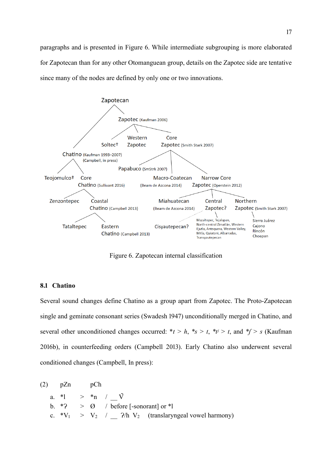paragraphs and is presented in [Figure 6.](#page-16-0) While intermediate subgrouping is more elaborated for Zapotecan than for any other Otomanguean group, details on the Zapotec side are tentative since many of the nodes are defined by only one or two innovations.



Figure 6. Zapotecan internal classification

### <span id="page-16-0"></span>**8.1 Chatino**

Several sound changes define Chatino as a group apart from Zapotec. The Proto-Zapotecan single and geminate consonant series (Swadesh 1947) unconditionally merged in Chatino, and several other unconditioned changes occurred:  $*t > h$ ,  $*_s > t$ ,  $*_t / s$ , and  $*_f > s$  (Kaufman 2016b), in counterfeeding orders (Campbell 2013). Early Chatino also underwent several conditioned changes (Campbell, In press):

| $(2)$ pZn | nCh |                                                                           |
|-----------|-----|---------------------------------------------------------------------------|
|           |     | a. *1 > *n / $\vec{V}$                                                    |
|           |     | b. $*2$ > $\emptyset$ / before [-sonorant] or $*1$                        |
|           |     | c. $*V_1 > V_2 / N_2$ / 2/h V <sub>2</sub> (translaryngeal vowel harmony) |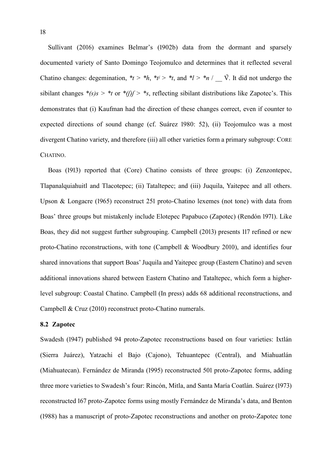Sullivant (2016) examines Belmar's (1902b) data from the dormant and sparsely documented variety of Santo Domingo Teojomulco and determines that it reflected several Chatino changes: degemination,  $*_t$  >  $*_h$ ,  $*_t$  >  $*_t$ , and  $*_l$  >  $*_n$  /  $\check{V}$ . It did not undergo the sibilant changes  $*(s)s > *t$  or  $*(f)$ *f*  $> *s$ , reflecting sibilant distributions like Zapotec's. This demonstrates that (i) Kaufman had the direction of these changes correct, even if counter to expected directions of sound change (cf. Suárez 1980: 52), (ii) Teojomulco was a most divergent Chatino variety, and therefore (iii) all other varieties form a primary subgroup: CORE CHATINO.

Boas (1913) reported that (Core) Chatino consists of three groups: (i) Zenzontepec, Tlapanalquiahuitl and Tlacotepec; (ii) Tataltepec; and (iii) Juquila, Yaitepec and all others. Upson & Longacre (1965) reconstruct 251 proto-Chatino lexemes (not tone) with data from Boas' three groups but mistakenly include Elotepec Papabuco (Zapotec) (Rendón 1971). Like Boas, they did not suggest further subgrouping. Campbell (2013) presents 117 refined or new proto-Chatino reconstructions, with tone (Campbell & Woodbury 2010), and identifies four shared innovations that support Boas' Juquila and Yaitepec group (Eastern Chatino) and seven additional innovations shared between Eastern Chatino and Tataltepec, which form a higherlevel subgroup: Coastal Chatino. Campbell (In press) adds 68 additional reconstructions, and Campbell & Cruz (2010) reconstruct proto-Chatino numerals.

## **8.2 Zapotec**

Swadesh (1947) published 94 proto-Zapotec reconstructions based on four varieties: Ixtlán (Sierra Juárez), Yatzachi el Bajo (Cajono), Tehuantepec (Central), and Miahuatlán (Miahuatecan). Fernández de Miranda (1995) reconstructed 501 proto-Zapotec forms, adding three more varieties to Swadesh's four: Rincón, Mitla, and Santa María Coatlán. Suárez (1973) reconstructed 167 proto-Zapotec forms using mostly Fernández de Miranda's data, and Benton (1988) has a manuscript of proto-Zapotec reconstructions and another on proto-Zapotec tone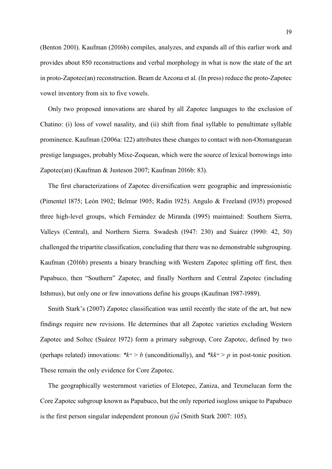(Benton 2001). Kaufman (2016b) compiles, analyzes, and expands all of this earlier work and provides about 850 reconstructions and verbal morphology in what is now the state of the art in proto-Zapotec(an) reconstruction. Beam de Azcona et al. (In press) reduce the proto-Zapotec vowel inventory from six to five vowels.

Only two proposed innovations are shared by all Zapotec languages to the exclusion of Chatino: (i) loss of vowel nasality, and (ii) shift from final syllable to penultimate syllable prominence. Kaufman (2006a: 122) attributes these changes to contact with non-Otomanguean prestige languages, probably Mixe-Zoquean, which were the source of lexical borrowings into Zapotec(an) (Kaufman & Justeson 2007; Kaufman 2016b: 83).

The first characterizations of Zapotec diversification were geographic and impressionistic (Pimentel 1875; León 1902; Belmar 1905; Radin 1925). Angulo & Freeland (1935) proposed three high-level groups, which Fernández de Miranda (1995) maintained: Southern Sierra, Valleys (Central), and Northern Sierra. Swadesh (1947: 230) and Suárez (1990: 42, 50) challenged the tripartite classification, concluding that there was no demonstrable subgrouping. Kaufman (2016b) presents a binary branching with Western Zapotec splitting off first, then Papabuco, then "Southern" Zapotec, and finally Northern and Central Zapotec (including Isthmus), but only one or few innovations define his groups (Kaufman 1987-1989).

Smith Stark's (2007) Zapotec classification was until recently the state of the art, but new findings require new revisions. He determines that all Zapotec varieties excluding Western Zapotec and Soltec (Suárez 1972) form a primary subgroup, Core Zapotec, defined by two (perhaps related) innovations:  $*k<sup>w</sup> > b$  (unconditionally), and  $*kk<sup>w</sup> > p$  in post-tonic position. These remain the only evidence for Core Zapotec.

The geographically westernmost varieties of Elotepec, Zaniza, and Texmelucan form the Core Zapotec subgroup known as Papabuco, but the only reported isogloss unique to Papabuco is the first person singular independent pronoun *(j)* $\tilde{a}$ (Smith Stark 2007: 105).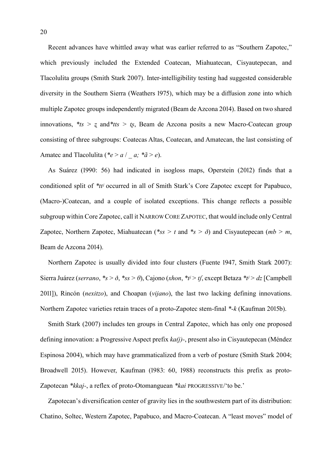Recent advances have whittled away what was earlier referred to as "Southern Zapotec," which previously included the Extended Coatecan, Miahuatecan, Cisyautepecan, and Tlacolulita groups (Smith Stark 2007). Inter-intelligibility testing had suggested considerable diversity in the Southern Sierra (Weathers 1975), which may be a diffusion zone into which multiple Zapotec groups independently migrated (Beam de Azcona 2014). Based on two shared innovations,  $*_{ts} > z$  and  $*_{tts} > t_s$ , Beam de Azcona posits a new Macro-Coatecan group consisting of three subgroups: Coatecas Altas, Coatecan, and Amatecan, the last consisting of Amatec and Tlacolulita (\* $e > a / a$ ; \* $\tilde{a} > e$ ).

As Suárez (1990: 56) had indicated in isogloss maps, Operstein (2012) finds that a conditioned split of *\*ttʲ* occurred in all of Smith Stark's Core Zapotec except for Papabuco, (Macro-)Coatecan, and a couple of isolated exceptions. This change reflects a possible subgroup within Core Zapotec, call it NARROW CORE ZAPOTEC, that would include only Central Zapotec, Northern Zapotec, Miahuatecan (*\*ss > t* and *\*s > ð*) and Cisyautepecan (*mb > m*, Beam de Azcona 2014).

Northern Zapotec is usually divided into four clusters (Fuente 1947, Smith Stark 2007): Sierra Juárez (*serrano*, *\*s > ð*, *\*ss > θ*), Cajono (*xhon*, *\*tʲ > tʃ*, except Betaza *\*tʲ > dz* [Campbell 2011]), Rincón (*nexitzo*), and Choapan (*vijano*), the last two lacking defining innovations. Northern Zapotec varieties retain traces of a proto-Zapotec stem-final *\*-k* (Kaufman 2015b).

Smith Stark (2007) includes ten groups in Central Zapotec, which has only one proposed defining innovation: a Progressive Aspect prefix *ka(j)-*, present also in Cisyautepecan (Méndez Espinosa 2004), which may have grammaticalized from a verb of posture (Smith Stark 2004; Broadwell 2015). However, Kaufman (1983: 60, 1988) reconstructs this prefix as proto-Zapotecan *\*kkaj-*, a reflex of proto-Otomanguean *\*kai* PROGRESSIVE/'to be.'

Zapotecan's diversification center of gravity lies in the southwestern part of its distribution: Chatino, Soltec, Western Zapotec, Papabuco, and Macro-Coatecan. A "least moves" model of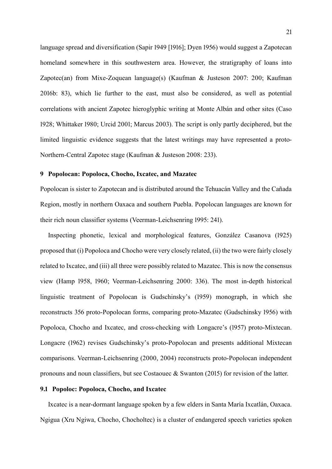language spread and diversification (Sapir 1949 [1916]; Dyen 1956) would suggest a Zapotecan homeland somewhere in this southwestern area. However, the stratigraphy of loans into Zapotec(an) from Mixe-Zoquean language(s) (Kaufman & Justeson 2007: 200; Kaufman 2016b: 83), which lie further to the east, must also be considered, as well as potential correlations with ancient Zapotec hieroglyphic writing at Monte Albán and other sites (Caso 1928; Whittaker 1980; Urcid 2001; Marcus 2003). The script is only partly deciphered, but the limited linguistic evidence suggests that the latest writings may have represented a proto-Northern-Central Zapotec stage (Kaufman & Justeson 2008: 233).

### <span id="page-20-0"></span>**9 Popolocan: Popoloca, Chocho, Ixcatec, and Mazatec**

Popolocan is sister to Zapotecan and is distributed around the Tehuacán Valley and the Cañada Region, mostly in northern Oaxaca and southern Puebla. Popolocan languages are known for their rich noun classifier systems (Veerman-Leichsenring 1995: 241).

Inspecting phonetic, lexical and morphological features, González Casanova (1925) proposed that (i) Popoloca and Chocho were very closely related, (ii) the two were fairly closely related to Ixcatec, and (iii) all three were possibly related to Mazatec. This is now the consensus view (Hamp 1958, 1960; Veerman-Leichsenring 2000: 336). The most in-depth historical linguistic treatment of Popolocan is Gudschinsky's (1959) monograph, in which she reconstructs 356 proto-Popolocan forms, comparing proto-Mazatec (Gudschinsky 1956) with Popoloca, Chocho and Ixcatec, and cross-checking with Longacre's (1957) proto-Mixtecan. Longacre (1962) revises Gudschinsky's proto-Popolocan and presents additional Mixtecan comparisons. Veerman-Leichsenring (2000, 2004) reconstructs proto-Popolocan independent pronouns and noun classifiers, but see Costaouec & Swanton (2015) for revision of the latter.

#### **9.1 Popoloc: Popoloca, Chocho, and Ixcatec**

Ixcatec is a near-dormant language spoken by a few elders in Santa María Ixcatlán, Oaxaca. Ngigua (Xru Ngiwa, Chocho, Chocholtec) is a cluster of endangered speech varieties spoken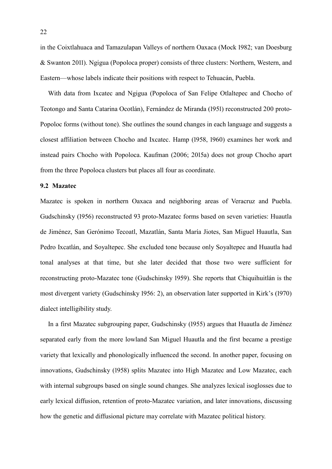in the Coixtlahuaca and Tamazulapan Valleys of northern Oaxaca (Mock 1982; van Doesburg & Swanton 2011). Ngigua (Popoloca proper) consists of three clusters: Northern, Western, and Eastern—whose labels indicate their positions with respect to Tehuacán, Puebla.

With data from Ixcatec and Ngigua (Popoloca of San Felipe Otlaltepec and Chocho of Teotongo and Santa Catarina Ocotlán), Fernández de Miranda (1951) reconstructed 200 proto-Popoloc forms (without tone). She outlines the sound changes in each language and suggests a closest affiliation between Chocho and Ixcatec. Hamp (1958, 1960) examines her work and instead pairs Chocho with Popoloca. Kaufman (2006; 2015a) does not group Chocho apart from the three Popoloca clusters but places all four as coordinate.

# **9.2 Mazatec**

Mazatec is spoken in northern Oaxaca and neighboring areas of Veracruz and Puebla. Gudschinsky (1956) reconstructed 93 proto-Mazatec forms based on seven varieties: Huautla de Jiménez, San Gerónimo Tecoatl, Mazatlán, Santa María Jiotes, San Miguel Huautla, San Pedro Ixcatlán, and Soyaltepec. She excluded tone because only Soyaltepec and Huautla had tonal analyses at that time, but she later decided that those two were sufficient for reconstructing proto-Mazatec tone (Gudschinsky 1959). She reports that Chiquihuitlán is the most divergent variety (Gudschinsky 1956: 2), an observation later supported in Kirk's (1970) dialect intelligibility study.

In a first Mazatec subgrouping paper, Gudschinsky (1955) argues that Huautla de Jiménez separated early from the more lowland San Miguel Huautla and the first became a prestige variety that lexically and phonologically influenced the second. In another paper, focusing on innovations, Gudschinsky (1958) splits Mazatec into High Mazatec and Low Mazatec, each with internal subgroups based on single sound changes. She analyzes lexical isoglosses due to early lexical diffusion, retention of proto-Mazatec variation, and later innovations, discussing how the genetic and diffusional picture may correlate with Mazatec political history.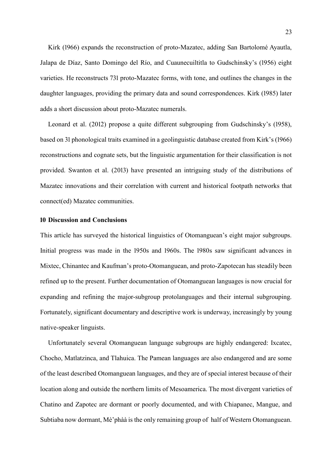Kirk (1966) expands the reconstruction of proto-Mazatec, adding San Bartolomé Ayautla, Jalapa de Díaz, Santo Domingo del Río, and Cuaunecuiltitla to Gudschinsky's (1956) eight varieties. He reconstructs 731 proto-Mazatec forms, with tone, and outlines the changes in the daughter languages, providing the primary data and sound correspondences. Kirk (1985) later adds a short discussion about proto-Mazatec numerals.

Leonard et al. (2012) propose a quite different subgrouping from Gudschinsky's (1958), based on 31 phonological traits examined in a geolinguistic database created from Kirk's (1966) reconstructions and cognate sets, but the linguistic argumentation for their classification is not provided. Swanton et al. (2013) have presented an intriguing study of the distributions of Mazatec innovations and their correlation with current and historical footpath networks that connect(ed) Mazatec communities.

#### <span id="page-22-0"></span>**10 Discussion and Conclusions**

This article has surveyed the historical linguistics of Otomanguean's eight major subgroups. Initial progress was made in the 1950s and 1960s. The 1980s saw significant advances in Mixtec, Chinantec and Kaufman's proto-Otomanguean, and proto-Zapotecan has steadily been refined up to the present. Further documentation of Otomanguean languages is now crucial for expanding and refining the major-subgroup protolanguages and their internal subgrouping. Fortunately, significant documentary and descriptive work is underway, increasingly by young native-speaker linguists.

Unfortunately several Otomanguean language subgroups are highly endangered: Ixcatec, Chocho, Matlatzinca, and Tlahuica. The Pamean languages are also endangered and are some of the least described Otomanguean languages, and they are of special interest because of their location along and outside the northern limits of Mesoamerica. The most divergent varieties of Chatino and Zapotec are dormant or poorly documented, and with Chiapanec, Mangue, and Subtiaba now dormant, Mè'phàà is the only remaining group of half of Western Otomanguean.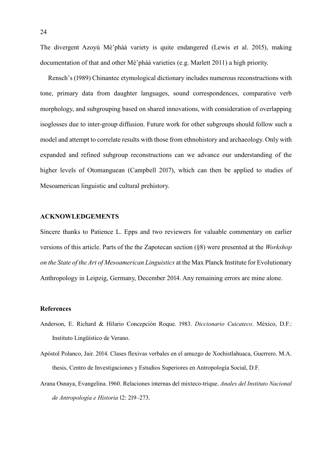The divergent Azoyú Mè'phàà variety is quite endangered (Lewis et al. 2015), making documentation of that and other Mè'phàà varieties (e.g. Marlett 2011) a high priority.

Rensch's (1989) Chinantec etymological dictionary includes numerous reconstructions with tone, primary data from daughter languages, sound correspondences, comparative verb morphology, and subgrouping based on shared innovations, with consideration of overlapping isoglosses due to inter-group diffusion. Future work for other subgroups should follow such a model and attempt to correlate results with those from ethnohistory and archaeology. Only with expanded and refined subgroup reconstructions can we advance our understanding of the higher levels of Otomanguean (Campbell 2017), which can then be applied to studies of Mesoamerican linguistic and cultural prehistory.

### **ACKNOWLEDGEMENTS**

Sincere thanks to Patience L. Epps and two reviewers for valuable commentary on earlier versions of this article. Parts of the the Zapotecan section ([§8\)](#page-15-1) were presented at the *Workshop on the State of the Art of Mesoamerican Linguistics* at the Max Planck Institute for Evolutionary Anthropology in Leipzig, Germany, December 2014. Any remaining errors are mine alone.

#### **References**

- Anderson, E. Richard & Hilario Concepción Roque. 1983. *Diccionario Cuicateco*. México, D.F.: Instituto Lingüístico de Verano.
- Apóstol Polanco, Jair. 2014. Clases flexivas verbales en el amuzgo de Xochistlahuaca, Guerrero. M.A. thesis, Centro de Investigaciones y Estudios Superiores en Antropología Social, D.F.
- Arana Osnaya, Evangelina. 1960. Relaciones internas del mixteco-trique. *Anales del Instituto Nacional de Antropología e Historia* 12: 219–273.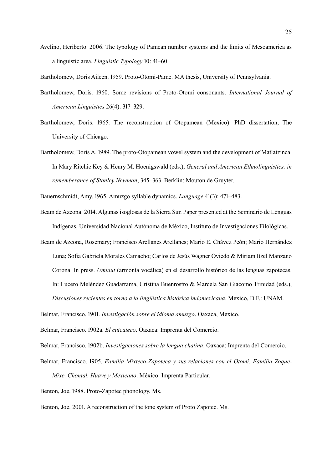Avelino, Heriberto. 2006. The typology of Pamean number systems and the limits of Mesoamerica as a linguistic area. *Linguistic Typology* 10: 41–60.

Bartholomew, Doris Aileen. 1959. Proto-Otomi-Pame. MA thesis, University of Pennsylvania.

- Bartholomew, Doris. 1960. Some revisions of Proto-Otomi consonants. *International Journal of American Linguistics* 26(4): 317–329.
- Bartholomew, Doris. 1965. The reconstruction of Otopamean (Mexico). PhD dissertation, The University of Chicago.
- Bartholomew, Doris A. 1989. The proto-Otopamean vowel system and the development of Matlatzinca. In Mary Ritchie Key & Henry M. Hoenigswald (eds.), *General and American Ethnolinguistics: in rememberance of Stanley Newman*, 345–363. Berklin: Mouton de Gruyter.

Bauernschmidt, Amy. 1965. Amuzgo syllable dynamics. *Language* 41(3): 471–483.

- Beam de Azcona. 2014. Algunas isoglosas de la Sierra Sur. Paper presented at the Seminario de Lenguas Indígenas, Universidad Nacional Autónoma de México, Instituto de Investigaciones Filológicas.
- Beam de Azcona, Rosemary; Francisco Arellanes Arellanes; Mario E. Chávez Peón; Mario Hernández Luna; Sofía Gabriela Morales Camacho; Carlos de Jesús Wagner Oviedo & Miriam Itzel Manzano Corona. In press. *Umlaut* (armonía vocálica) en el desarrollo histórico de las lenguas zapotecas. In: Lucero Meléndez Guadarrama, Cristina Buenrostro & Marcela San Giacomo Trinidad (eds.), *Discusiones recientes en torno a la lingüística histórica indomexicana*. Mexico, D.F.: UNAM.

Belmar, Francisco. 1901. *Investigación sobre el idioma amuzgo*. Oaxaca, Mexico.

Belmar, Francisco. 1902a. *El cuicateco*. Oaxaca: Imprenta del Comercio.

Belmar, Francisco. 1902b. *Investigaciones sobre la lengua chatina*. Oaxaca: Imprenta del Comercio.

Belmar, Francisco. 1905. *Familia Mixteco-Zapoteca y sus relaciones con el Otomí. Familia Zoque-Mixe. Chontal. Huave y Mexicano*. México: Imprenta Particular.

Benton, Joe. 1988. Proto-Zapotec phonology. Ms.

Benton, Joe. 2001. A reconstruction of the tone system of Proto Zapotec. Ms.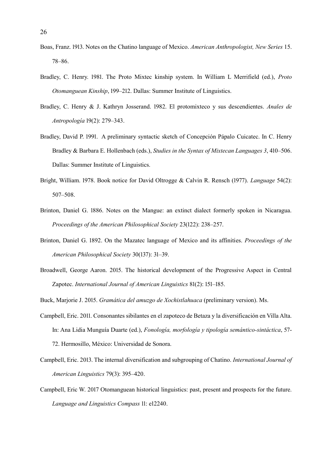- Boas, Franz. 1913. Notes on the Chatino language of Mexico. *American Anthropologist, New Series* 15. 78–86.
- Bradley, C. Henry. 1981. The Proto Mixtec kinship system. In William L Merrifield (ed.), *Proto Otomanguean Kinship*, 199–212. Dallas: Summer Institute of Linguistics.
- Bradley, C. Henry & J. Kathryn Josserand. 1982. El protomixteco y sus descendientes. *Anales de Antropología* 19(2): 279–343.
- Bradley, David P. 1991. A preliminary syntactic sketch of Concepción Pápalo Cuicatec. In C. Henry Bradley & Barbara E. Hollenbach (eds.), *Studies in the Syntax of Mixtecan Languages 3*, 410–506. Dallas: Summer Institute of Linguistics.
- Bright, William. 1978. Book notice for David Oltrogge & Calvin R. Rensch (1977). *Language* 54(2): 507–508.
- Brinton, Daniel G. 1886. Notes on the Mangue: an extinct dialect formerly spoken in Nicaragua. *Proceedings of the American Philosophical Society* 23(122): 238–257.
- Brinton, Daniel G. 1892. On the Mazatec language of Mexico and its affinities. *Proceedings of the American Philosophical Society* 30(137): 31–39.
- Broadwell, George Aaron. 2015. The historical development of the Progressive Aspect in Central Zapotec. *International Journal of American Linguistics* 81(2): 151–185.
- Buck, Marjorie J. 2015. *Gramática del amuzgo de Xochistlahuaca* (preliminary version). Ms.
- Campbell, Eric. 2011. Consonantes sibilantes en el zapoteco de Betaza y la diversificación en Villa Alta. In: Ana Lidia Munguía Duarte (ed.), *Fonología, morfología y tipología semántico-sintáctica*, 57- 72. Hermosillo, México: Universidad de Sonora.
- Campbell, Eric. 2013. The internal diversification and subgrouping of Chatino. *International Journal of American Linguistics* 79(3): 395–420.
- Campbell, Eric W. 2017 Otomanguean historical linguistics: past, present and prospects for the future. *Language and Linguistics Compass* 11: e12240.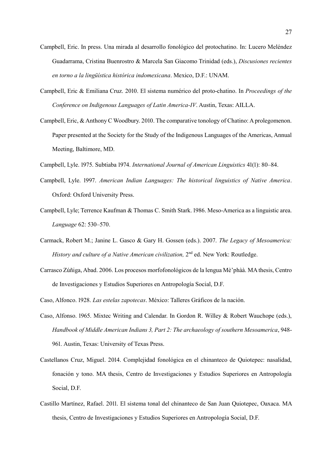- Campbell, Eric. In press. Una mirada al desarrollo fonológico del protochatino. In: Lucero Meléndez Guadarrama, Cristina Buenrostro & Marcela San Giacomo Trinidad (eds.), *Discusiones recientes en torno a la lingüística histórica indomexicana*. Mexico, D.F.: UNAM.
- Campbell, Eric & Emiliana Cruz. 2010. El sistema numérico del proto-chatino. In *Proceedings of the Conference on Indigenous Languages of Latin America-IV*. Austin, Texas: AILLA.
- Campbell, Eric, & Anthony C Woodbury. 2010. The comparative tonology of Chatino: A prolegomenon. Paper presented at the Society for the Study of the Indigenous Languages of the Americas, Annual Meeting, Baltimore, MD.
- Campbell, Lyle. 1975. Subtiaba 1974. *International Journal of American Linguistics* 41(1): 80–84.
- Campbell, Lyle. 1997. *American Indian Languages: The historical linguistics of Native America*. Oxford: Oxford University Press.
- Campbell, Lyle; Terrence Kaufman & Thomas C. Smith Stark. 1986. Meso-America as a linguistic area. *Language* 62: 530–570.
- Carmack, Robert M.; Janine L. Gasco & Gary H. Gossen (eds.). 2007. *The Legacy of Mesoamerica:*  History and culture of a Native American civilization, 2<sup>nd</sup> ed. New York: Routledge.
- Carrasco Zúñiga, Abad. 2006. Los procesos morfofonológicos de la lengua Mè'phàà. MA thesis, Centro de Investigaciones y Estudios Superiores en Antropología Social, D.F.
- Caso, Alfonco. 1928. *Las estelas zapotecas*. México: Talleres Gráficos de la nación.
- Caso, Alfonso. 1965. Mixtec Writing and Calendar. In Gordon R. Willey & Robert Wauchope (eds.), *Handbook of Middle American Indians 3, Part 2: The archaeology of southern Mesoamerica*, 948- 961. Austin, Texas: University of Texas Press.
- Castellanos Cruz, Miguel. 2014. Complejidad fonológica en el chinanteco de Quiotepec: nasalidad, fonación y tono. MA thesis, Centro de Investigaciones y Estudios Superiores en Antropología Social, D.F.
- Castillo Martínez, Rafael. 2011. El sistema tonal del chinanteco de San Juan Quiotepec, Oaxaca. MA thesis, Centro de Investigaciones y Estudios Superiores en Antropología Social, D.F.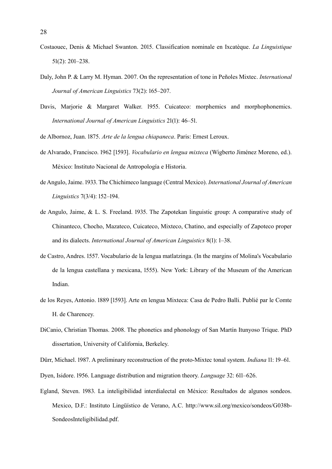- Costaouec, Denis & Michael Swanton. 2015. Classification nominale en Ixcatèque. *La Linguistique* 51(2): 201–238.
- Daly, John P. & Larry M. Hyman. 2007. On the representation of tone in Peñoles Mixtec. *International Journal of American Linguistics* 73(2): 165–207.
- Davis, Marjorie & Margaret Walker. 1955. Cuicateco: morphemics and morphophonemics. *International Journal of American Linguistics* 21(1): 46–51.
- de Albornoz, Juan. 1875. *Arte de la lengua chiapaneca*. Paris: Ernest Leroux.
- de Alvarado, Francisco. 1962 [1593]. *Vocabulario en lengua mixteca* (Wigberto Jiménez Moreno, ed.). México: Instituto Nacional de Antropología e Historia.
- de Angulo, Jaime. 1933. The Chichimeco language (Central Mexico). *International Journal of American Linguistics* 7(3/4): 152–194.
- de Angulo, Jaime, & L. S. Freeland. 1935. The Zapotekan linguistic group: A comparative study of Chinanteco, Chocho, Mazateco, Cuicateco, Mixteco, Chatino, and especially of Zapoteco proper and its dialects. *International Journal of American Linguistics* 8(1): 1–38.
- de Castro, Andres. 1557. Vocabulario de la lengua matlatzinga. (In the margins of Molina's Vocabulario de la lengua castellana y mexicana, 1555). New York: Library of the Museum of the American Indian.
- de los Reyes, Antonio. 1889 [1593]. Arte en lengua Mixteca: Casa de Pedro Balli. Publié par le Comte H. de Charencey.
- DiCanio, Christian Thomas. 2008. The phonetics and phonology of San Martín Itunyoso Trique. PhD dissertation, University of California, Berkeley.

Dürr, Michael. 1987. A preliminary reconstruction of the proto-Mixtec tonal system. *Indiana* 11: 19–61.

- Dyen, Isidore. 1956. Language distribution and migration theory. *Language* 32: 611–626.
- Egland, Steven. 1983. La inteligibilidad interdialectal en México: Resultados de algunos sondeos. Mexico, D.F.: Instituto Lingüístico de Verano, A.C. http://www.sil.org/mexico/sondeos/G038b-SondeosInteligibilidad.pdf.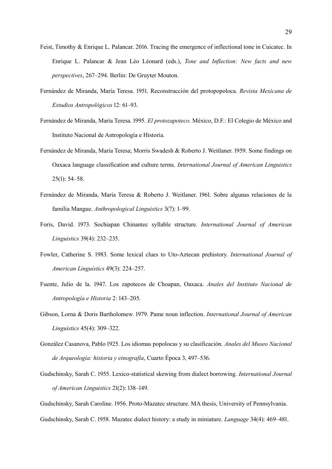- Feist, Timothy & Enrique L. Palancar. 2016. Tracing the emergence of inflectional tone in Cuicatec. In Enrique L. Palancar & Jean Léo Léonard (eds.), *Tone and Inflection: New facts and new perspectives*, 267–294. Berlin: De Gruyter Mouton.
- Fernández de Miranda, María Teresa. 1951. Reconstrucción del protopopoloca. *Revista Mexicana de Estudios Antropológicos* 12: 61–93.
- Fernández de Miranda, María Teresa. 1995. *El protozapoteco*. México, D.F.: El Colegio de México and Instituto Nacional de Antropología e Historia.
- Fernández de Miranda, María Teresa; Morris Swadesh & Roberto J. Weitlaner. 1959. Some findings on Oaxaca language classification and culture terms. *International Journal of American Linguistics*  25(1): 54–58.
- Fernández de Miranda, María Teresa & Roberto J. Weitlaner. 1961. Sobre algunas relaciones de la familia Mangue. *Anthropological Linguistics* 3(7): 1–99.
- Foris, David. 1973. Sochiapan Chinantec syllable structure. *International Journal of American Linguistics* 39(4): 232–235.
- Fowler, Catherine S. 1983. Some lexical clues to Uto-Aztecan prehistory. *International Journal of American Linguistics* 49(3): 224–257.
- Fuente, Julio de la. 1947. Los zapotecos de Choapan, Oaxaca. *Anales del Instituto Nacional de Antropología e Historia* 2: 143–205.
- Gibson, Lorna & Doris Bartholomew. 1979. Pame noun inflection. *International Journal of American Linguistics* 45(4): 309–322.
- González Casanova, Pablo 1925. Los idiomas popolocas y su clasificación. *Anales del Museo Nacional de Arqueología: historia y etnografía*, Cuarto Época 3, 497–536.
- Gudschinsky, Sarah C. 1955. Lexico-statistical skewing from dialect borrowing. *International Journal of American Linguistics* 21(2): 138–149.
- Gudschinsky, Sarah Caroline. 1956. Proto-Mazatec structure. MA thesis, University of Pennsylvania.
- Gudschinsky, Sarah C. 1958. Mazatec dialect history: a study in miniature. *Language* 34(4): 469–481.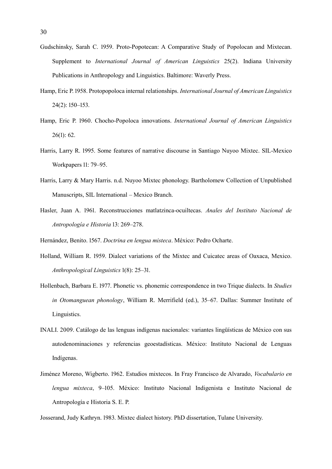- Gudschinsky, Sarah C. 1959. Proto-Popotecan: A Comparative Study of Popolocan and Mixtecan. Supplement to *International Journal of American Linguistics* 25(2). Indiana University Publications in Anthropology and Linguistics. Baltimore: Waverly Press.
- Hamp, Eric P. 1958. Protopopoloca internal relationships. *International Journal of American Linguistics*  24(2): 150–153.
- Hamp, Eric P. 1960. Chocho-Popoloca innovations. *International Journal of American Linguistics*  26(1): 62.
- Harris, Larry R. 1995. Some features of narrative discourse in Santiago Nuyoo Mixtec. SIL-Mexico Workpapers 11: 79–95.
- Harris, Larry & Mary Harris. n.d. Nuyoo Mixtec phonology. Bartholomew Collection of Unpublished Manuscripts, SIL International – Mexico Branch.
- Hasler, Juan A. 1961. Reconstrucciones matlatzinca-ocuiltecas. *Anales del Instituto Nacional de Antropología e Historia* 13: 269–278.

Hernández, Benito. 1567. *Doctrina en lengua misteca*. México: Pedro Ocharte.

- Holland, William R. 1959. Dialect variations of the Mixtec and Cuicatec areas of Oaxaca, Mexico. *Anthropological Linguistics* 1(8): 25–31.
- Hollenbach, Barbara E. 1977. Phonetic vs. phonemic correspondence in two Trique dialects. In *Studies in Otomanguean phonology*, William R. Merrifield (ed.), 35–67. Dallas: Summer Institute of Linguistics.
- INALI. 2009. Catálogo de las lenguas indígenas nacionales: variantes lingüísticas de México con sus autodenominaciones y referencias geoestadísticas. México: Instituto Nacional de Lenguas Indígenas.
- Jiménez Moreno, Wigberto. 1962. Estudios mixtecos. In Fray Francisco de Alvarado, *Vocabulario en lengua mixteca*, 9–105. México: Instituto Nacional Indigenista e Instituto Nacional de Antropología e Historia S. E. P.

Josserand, Judy Kathryn. 1983. Mixtec dialect history. PhD dissertation, Tulane University.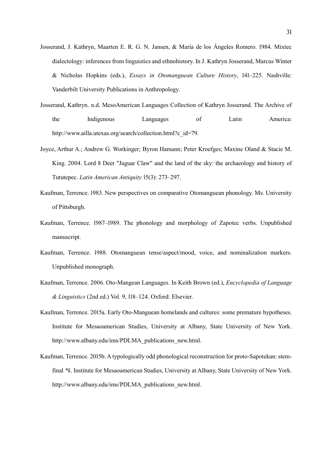- Josserand, J. Kathryn, Maarten E. R. G. N. Jansen, & María de los Ángeles Romero. 1984. Mixtec dialectology: inferences from linguistics and ethnohistory. In J. Kathryn Josserand, Marcus Winter & Nicholas Hopkins (eds.), *Essays in Otomanguean Culture History*, 141–225. Nashville: Vanderbilt University Publications in Anthropology.
- Josserand, Kathryn. n.d. MesoAmerican Languages Collection of Kathryn Josserand. The Archive of the Indigenous Languages of Latin America: http://www.ailla.utexas.org/search/collection.html?c\_id=79.
- Joyce, Arthur A.; Andrew G. Workinger; Byron Hamann; Peter Kroefges; Maxine Oland & Stacie M. King. 2004. Lord 8 Deer "Jaguar Claw" and the land of the sky: the archaeology and history of Tututepec. *Latin American Antiquity* 15(3): 273–297.
- Kaufman, Terrence. 1983. New perspectives on comparative Otomanguean phonology. Ms. University of Pittsburgh.
- Kaufman, Terrence. 1987–1989. The phonology and morphology of Zapotec verbs. Unpublished manuscript.
- Kaufman, Terrence. 1988. Otomanguean tense/aspect/mood, voice, and nominalization markers. Unpublished monograph.
- Kaufman, Terrence. 2006. Oto-Mangean Languages. In Keith Brown (ed.), *Encyclopedia of Language & Linguistics* (2nd ed.) Vol. 9, 118–124. Oxford: Elsevier.
- Kaufman, Terrence. 2015a. Early Oto-Manguean homelands and cultures: some premature hypotheses. Institute for Mesaoamerican Studies, University at Albany, State University of New York. http://www.albany.edu/ims/PDLMA\_publications\_new.html.
- Kaufman, Terrence. 2015b. A typologically odd phonological reconstruction for proto-Sapotekan: stemfinal *\*k*. Institute for Mesaoamerican Studies, University at Albany, State University of New York. http://www.albany.edu/ims/PDLMA\_publications\_new.html.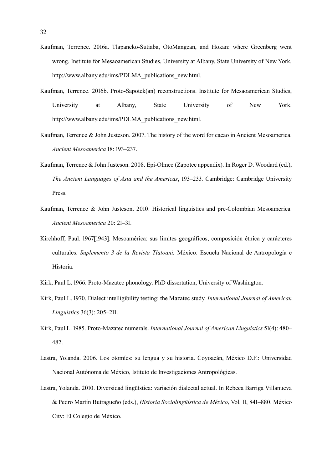- Kaufman, Terrence. 2016a. Tlapaneko-Sutiaba, OtoMangean, and Hokan: where Greenberg went wrong. Institute for Mesaoamerican Studies, University at Albany, State University of New York. http://www.albany.edu/ims/PDLMA\_publications\_new.html.
- Kaufman, Terrence. 2016b. Proto-Sapotek(an) reconstructions. Institute for Mesaoamerican Studies, University at Albany, State University of New York. http://www.albany.edu/ims/PDLMA\_publications\_new.html.
- Kaufman, Terrence & John Justeson. 2007. The history of the word for cacao in Ancient Mesoamerica. *Ancient Mesoamerica* 18: 193–237.
- Kaufman, Terrence & John Justeson. 2008. Epi-Olmec (Zapotec appendix). In Roger D. Woodard (ed.), *The Ancient Languages of Asia and the Americas*, 193–233. Cambridge: Cambridge University Press.
- Kaufman, Terrence & John Justeson. 2010. Historical linguistics and pre-Colombian Mesoamerica. *Ancient Mesoamerica* 20: 21–31.
- Kirchhoff, Paul. 1967[1943]. Mesoamérica: sus límites geográficos, composición étnica y carácteres culturales. *Suplemento 3 de la Revista Tlatoani.* México: Escuela Nacional de Antropología e Historia.
- Kirk, Paul L. 1966. Proto-Mazatec phonology. PhD dissertation, University of Washington.
- Kirk, Paul L. 1970. Dialect intelligibility testing: the Mazatec study. *International Journal of American Linguistics* 36(3): 205–211.
- Kirk, Paul L. 1985. Proto-Mazatec numerals. *International Journal of American Linguistics* 51(4): 480– 482.
- Lastra, Yolanda. 2006. Los otomíes: su lengua y su historia. Coyoacán, México D.F.: Universidad Nacional Autónoma de México, Istituto de Investigaciones Antropológicas.
- Lastra, Yolanda. 2010. Diversidad lingüística: variación dialectal actual. In Rebeca Barriga Villanueva & Pedro Martín Butragueño (eds.), *Historia Sociolingüística de México*, Vol. II, 841–880. México City: El Colegio de México.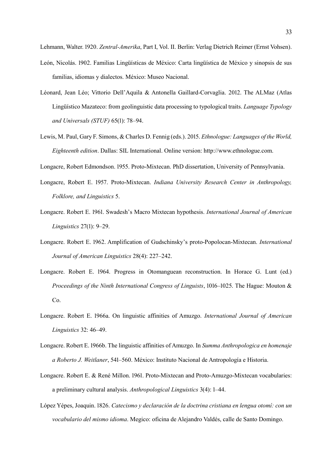Lehmann, Walter. 1920. *Zentral-Amerika*, Part I, Vol. II. Berlin: Verlag Dietrich Reimer (Ernst Vohsen).

- León, Nicolás. 1902. Familias Lingüísticas de México: Carta lingüística de México y sinopsis de sus familias, idiomas y dialectos. México: Museo Nacional.
- Léonard, Jean Léo; Vittorio Dell'Aquila & Antonella Gaillard-Corvaglia. 2012. The ALMaz (Atlas Lingüístico Mazateco: from geolinguistic data processing to typological traits. *Language Typology and Universals (STUF)* 65(1): 78–94.
- Lewis, M. Paul, Gary F. Simons, & Charles D. Fennig (eds.). 2015. *Ethnologue: Languages of the World, Eighteenth edition*. Dallas: SIL International. Online version: http://www.ethnologue.com.

Longacre, Robert Edmondson. 1955. Proto-Mixtecan. PhD dissertation, University of Pennsylvania.

- Longacre, Robert E. 1957. Proto-Mixtecan. *Indiana University Research Center in Anthropology, Folklore, and Linguistics* 5.
- Longacre. Robert E. 1961. Swadesh's Macro Mixtecan hypothesis. *International Journal of American Linguistics* 27(1): 9–29.
- Longacre. Robert E. 1962. Amplification of Gudschinsky's proto-Popolocan-Mixtecan. *International Journal of American Linguistics* 28(4): 227–242.
- Longacre. Robert E. 1964. Progress in Otomanguean reconstruction. In Horace G. Lunt (ed.) *Proceedings of the Ninth International Congress of Linguists*, 1016–1025. The Hague: Mouton & Co.
- Longacre. Robert E. 1966a. On linguistic affinities of Amuzgo. *International Journal of American Linguistics* 32: 46–49.
- Longacre. Robert E. 1966b. The linguistic affinities of Amuzgo. In *Summa Anthropologica en homenaje a Roberto J. Weitlaner*, 541–560. México: Instituto Nacional de Antropología e Historia.
- Longacre. Robert E. & René Millon. 1961. Proto-Mixtecan and Proto-Amuzgo-Mixtecan vocabularies: a preliminary cultural analysis. *Anthropological Linguistics* 3(4): 1–44.
- López Yépes, Joaquin. 1826. *Catecismo y declaración de la doctrina cristiana en lengua otomí: con un vocabulario del mismo idioma*. Megico: oficina de Alejandro Valdés, calle de Santo Domingo.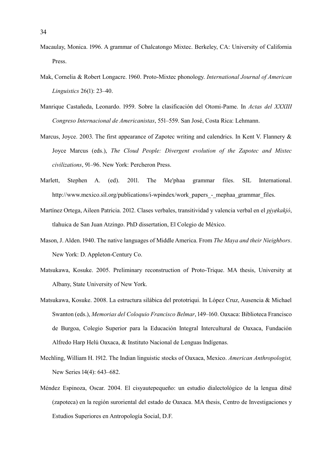- Macaulay, Monica. 1996. A grammar of Chalcatongo Mixtec. Berkeley, CA: University of California Press.
- Mak, Cornelia & Robert Longacre. 1960. Proto-Mixtec phonology. *International Journal of American Linguistics* 26(1): 23–40.
- Manrique Castañeda, Leonardo. 1959. Sobre la clasificación del Otomi-Pame. In *Actas del XXXIII Congreso Internacional de Americanistas*, 551–559. San José, Costa Rica: Lehmann.
- Marcus, Joyce. 2003. The first appearance of Zapotec writing and calendrics. In Kent V. Flannery & Joyce Marcus (eds.), *The Cloud People: Divergent evolution of the Zapotec and Mixtec civilizations*, 91–96. New York: Percheron Press.
- Marlett, Stephen A. (ed). 2011. The Me'phaa grammar files. SIL International. http://www.mexico.sil.org/publications/i-wpindex/work papers - mephaa grammar files.
- Martínez Ortega, Aileen Patricia. 2012. Clases verbales, transitividad y valencia verbal en el *pjy¢kakjó*, tlahuica de San Juan Atzingo. PhD dissertation, El Colegio de México.
- Mason, J. Alden. 1940. The native languages of Middle America. From *The Maya and their Nieighbors*. New York: D. Appleton-Century Co.
- Matsukawa, Kosuke. 2005. Preliminary reconstruction of Proto-Trique. MA thesis, University at Albany, State University of New York.
- Matsukawa, Kosuke. 2008. La estructura silábica del prototriqui. In López Cruz, Ausencia & Michael Swanton (eds.), *Memorias del Coloquio Francisco Belmar*, 149–160. Oaxaca: Biblioteca Francisco de Burgoa, Colegio Superior para la Educación Integral Intercultural de Oaxaca, Fundación Alfredo Harp Helú Oaxaca, & Instituto Nacional de Lenguas Indígenas.
- Mechling, William H. 1912. The Indian linguistic stocks of Oaxaca, Mexico. *American Anthropologist,*  New Series 14(4): 643–682.
- Méndez Espinoza, Oscar. 2004. El cisyautepequeño: un estudio dialectológico de la lengua ditsë (zapoteca) en la región suroriental del estado de Oaxaca. MA thesis, Centro de Investigaciones y Estudios Superiores en Antropología Social, D.F.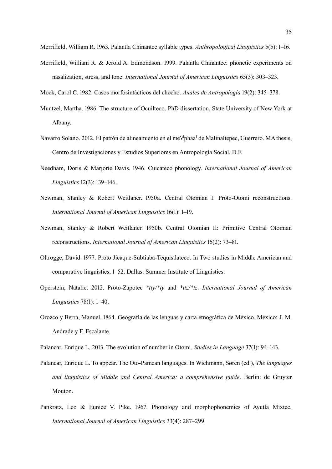Merrifield, William R. & Jerold A. Edmondson. 1999. Palantla Chinantec: phonetic experiments on nasalization, stress, and tone. *International Journal of American Linguistics* 65(3): 303–323.

Mock, Carol C. 1982. Casos morfosintácticos del chocho. *Anales de Antropología* 19(2): 345–378.

- Muntzel, Martha. 1986. The structure of Ocuilteco. PhD dissertation, State University of New York at Albany.
- Navarro Solano. 2012. El patrón de alineamiento en el me<sup>91</sup>phaa<sup>1</sup> de Malinaltepec, Guerrero. MA thesis, Centro de Investigaciones y Estudios Superiores en Antropología Social, D.F.
- Needham, Doris & Marjorie Davis. 1946. Cuicateco phonology. *International Journal of American Linguistics* 12(3): 139–146.
- Newman, Stanley & Robert Weitlaner. 1950a. Central Otomian I: Proto-Otomi reconstructions. *International Journal of American Linguistics* 16(1): 1–19.
- Newman, Stanley & Robert Weitlaner. 1950b. Central Otomian II: Primitive Central Otomian reconstructions. *International Journal of American Linguistics* 16(2): 73–81.
- Oltrogge, David. 1977. Proto Jicaque-Subtiaba-Tequistlateco. In Two studies in Middle American and comparative linguistics, 1–52. Dallas: Summer Institute of Linguistics.
- Operstein, Natalie. 2012. Proto-Zapotec *\*tty/\*ty* and *\*ttz/\*tz*. *International Journal of American Linguistics* 78(1): 1–40.
- Orozco y Berra, Manuel. 1864. Geografía de las lenguas y carta etnográfica de México. México: J. M. Andrade y F. Escalante.

Palancar, Enrique L. 2013. The evolution of number in Otomi. *Studies in Language* 37(1): 94–143.

- Palancar, Enrique L. To appear. The Oto-Pamean languages. In Wichmann, Søren (ed.), *The languages and linguistics of Middle and Central America: a comprehensive guide*. Berlin: de Gruyter Mouton.
- Pankratz, Leo & Eunice V. Pike. 1967. Phonology and morphophonemics of Ayutla Mixtec. *International Journal of American Linguistics* 33(4): 287–299.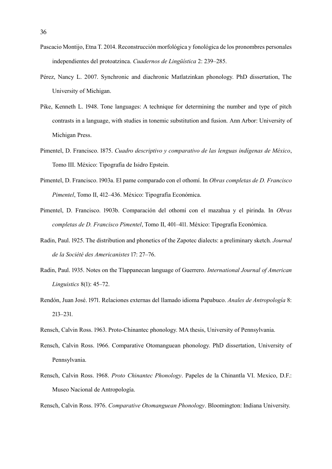- Pascacio Montijo, Etna T. 2014. Reconstrucción morfológica y fonológica de los pronombres personales independientes del protoatzinca. *Cuadernos de Lingüística* 2: 239–285.
- Pérez, Nancy L. 2007. Synchronic and diachronic Matlatzinkan phonology. PhD dissertation, The University of Michigan.
- Pike, Kenneth L. 1948. Tone languages: A technique for determining the number and type of pitch contrasts in a language, with studies in tonemic substitution and fusion. Ann Arbor: University of Michigan Press.
- Pimentel, D. Francisco. 1875. *Cuadro descriptivo y comparativo de las lenguas indígenas de México*, Tomo III. México: Tipografía de Isidro Epstein.
- Pimentel, D. Francisco. 1903a. El pame comparado con el othomí. In *Obras completas de D. Francisco Pimentel*, Tomo II, 412–436. México: Tipografía Económica.
- Pimentel, D. Francisco. 1903b. Comparación del othomí con el mazahua y el pirinda. In *Obras completas de D. Francisco Pimentel*, Tomo II, 401–411. México: Tipografía Económica.
- Radin, Paul. 1925. The distribution and phonetics of the Zapotec dialects: a preliminary sketch. *Journal de la Société des Americanistes* 17: 27–76.
- Radin, Paul. 1935. Notes on the Tlappanecan language of Guerrero. *International Journal of American Linguistics* 8(1): 45–72.
- Rendón, Juan José. 1971. Relaciones externas del llamado idioma Papabuco. *Anales de Antropología* 8: 213–231.
- Rensch, Calvin Ross. 1963. Proto-Chinantec phonology. MA thesis, University of Pennsylvania.
- Rensch, Calvin Ross. 1966. Comparative Otomanguean phonology. PhD dissertation, University of Pennsylvania.
- Rensch, Calvin Ross. 1968. *Proto Chinantec Phonology*. Papeles de la Chinantla VI. Mexico, D.F.: Museo Nacional de Antropología.

Rensch, Calvin Ross. 1976. *Comparative Otomanguean Phonology*. Bloomington: Indiana University.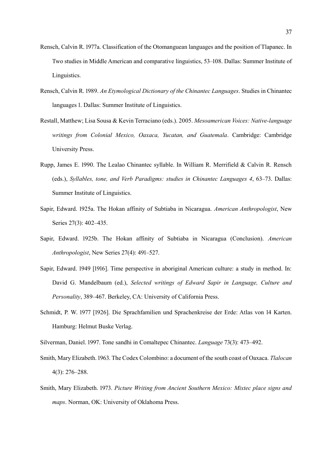- Rensch, Calvin R. 1977a. Classification of the Otomanguean languages and the position of Tlapanec. In Two studies in Middle American and comparative linguistics, 53–108. Dallas: Summer Institute of Linguistics.
- Rensch, Calvin R. 1989. *An Etymological Dictionary of the Chinantec Languages*. Studies in Chinantec languages 1. Dallas: Summer Institute of Linguistics.
- Restall, Matthew; Lisa Sousa & Kevin Terraciano (eds.). 2005. *Mesoamerican Voices: Native-language writings from Colonial Mexico, Oaxaca, Yucatan, and Guatemala*. Cambridge: Cambridge University Press.
- Rupp, James E. 1990. The Lealao Chinantec syllable. In William R. Merrifield & Calvin R. Rensch (eds.), *Syllables, tone, and Verb Paradigms: studies in Chinantec Languages 4*, 63–73. Dallas: Summer Institute of Linguistics.
- Sapir, Edward. 1925a. The Hokan affinity of Subtiaba in Nicaragua. *American Anthropologist*, New Series 27(3): 402–435.
- Sapir, Edward. 1925b. The Hokan affinity of Subtiaba in Nicaragua (Conclusion). *American Anthropologist*, New Series 27(4): 491–527.
- Sapir, Edward. 1949 [1916]. Time perspective in aboriginal American culture: a study in method. In: David G. Mandelbaum (ed.), *Selected writings of Edward Sapir in Language, Culture and Personality*, 389–467. Berkeley, CA: University of California Press.
- Schmidt, P. W. 1977 [1926]. Die Sprachfamilien und Sprachenkreise der Erde: Atlas von 14 Karten. Hamburg: Helmut Buske Verlag.
- Silverman, Daniel. 1997. Tone sandhi in Comaltepec Chinantec. *Language* 73(3): 473–492.
- Smith, Mary Elizabeth. 1963. The Codex Colombino: a document of the south coast of Oaxaca. *Tlalocan* 4(3): 276–288.
- Smith, Mary Elizabeth. 1973. *Picture Writing from Ancient Southern Mexico: Mixtec place signs and maps*. Norman, OK: University of Oklahoma Press.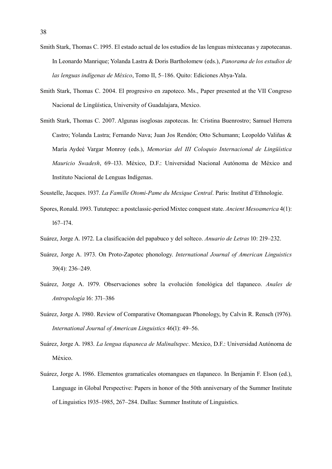- Smith Stark, Thomas C. 1995. El estado actual de los estudios de las lenguas mixtecanas y zapotecanas. In Leonardo Manrique; Yolanda Lastra & Doris Bartholomew (eds.), *Panorama de los estudios de las lenguas indígenas de México*, Tomo II, 5–186. Quito: Ediciones Abya-Yala.
- Smith Stark, Thomas C. 2004. El progresivo en zapoteco. Ms., Paper presented at the VII Congreso Nacional de Lingüística, University of Guadalajara, Mexico.
- Smith Stark, Thomas C. 2007. Algunas isoglosas zapotecas. In: Cristina Buenrostro; Samuel Herrera Castro; Yolanda Lastra; Fernando Nava; Juan Jos Rendón; Otto Schumann; Leopoldo Valiñas & María Aydeé Vargar Monroy (eds.), *Memorias del III Coloquio Internacional de Lingüística Mauricio Swadesh*, 69–133. México, D.F.: Universidad Nacional Autónoma de México and Instituto Nacional de Lenguas Indígenas.
- Soustelle, Jacques. 1937. *La Famille Otomi-Pame du Mexique Central*. Paris: Institut d'Ethnologie.
- Spores, Ronald. 1993. Tututepec: a postclassic-period Mixtec conquest state. *Ancient Mesoamerica* 4(1): 167–174.
- Suárez, Jorge A. 1972. La clasificación del papabuco y del solteco. *Anuario de Letras* 10: 219–232.
- Suárez, Jorge A. 1973. On Proto-Zapotec phonology. *International Journal of American Linguistics* 39(4): 236–249.
- Suárez, Jorge A. 1979. Observaciones sobre la evolución fonológica del tlapaneco. *Anales de Antropología* 16: 371–386
- Suárez, Jorge A. 1980. Review of Comparative Otomanguean Phonology, by Calvin R. Rensch (1976). *International Journal of American Linguistics* 46(1): 49–56.
- Suárez, Jorge A. 1983. *La lengua tlapaneca de Malinaltepec*. Mexico, D.F.: Universidad Autónoma de México.
- Suárez, Jorge A. 1986. Elementos gramaticales otomangues en tlapaneco. In Benjamin F. Elson (ed.), Language in Global Perspective: Papers in honor of the 50th anniversary of the Summer Institute of Linguistics 1935–1985, 267–284. Dallas: Summer Institute of Linguistics.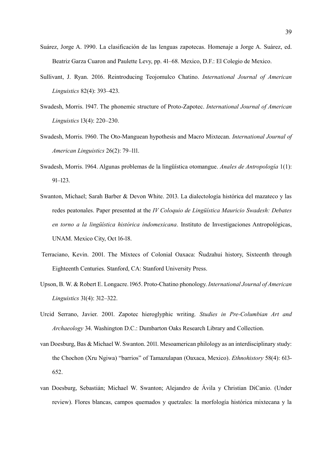- Suárez, Jorge A. 1990. La clasificación de las lenguas zapotecas. Homenaje a Jorge A. Suárez, ed. Beatriz Garza Cuaron and Paulette Levy, pp. 41–68. Mexico, D.F.: El Colegio de Mexico.
- Sullivant, J. Ryan. 2016. Reintroducing Teojomulco Chatino. *International Journal of American Linguistics* 82(4): 393–423.
- Swadesh, Morris. 1947. The phonemic structure of Proto-Zapotec. *International Journal of American Linguistics* 13(4): 220–230.
- Swadesh, Morris. 1960. The Oto-Manguean hypothesis and Macro Mixtecan. *International Journal of American Linguistics* 26(2): 79–111.
- Swadesh, Morris. 1964. Algunas problemas de la lingüística otomangue. *Anales de Antropología* 1(1): 91–123.
- Swanton, Michael; Sarah Barber & Devon White. 2013. La dialectología histórica del mazateco y las redes peatonales. Paper presented at the *IV Coloquio de Lingüística Mauricio Swadesh: Debates en torno a la lingüística histórica indomexicana*. Instituto de Investigaciones Antropológicas, UNAM. Mexico City, Oct 16-18.
- Terraciano, Kevin. 2001. The Mixtecs of Colonial Oaxaca: Ñudzahui history, Sixteenth through Eighteenth Centuries. Stanford, CA: Stanford University Press.
- Upson, B. W. & Robert E. Longacre. 1965. Proto-Chatino phonology. *International Journal of American Linguistics* 31(4): 312–322.
- Urcid Serrano, Javier. 2001. Zapotec hieroglyphic writing. *Studies in Pre-Columbian Art and Archaeology* 34. Washington D.C.: Dumbarton Oaks Research Library and Collection.
- van Doesburg, Bas & Michael W. Swanton. 2011. Mesoamerican philology as an interdisciplinary study: the Chochon (Xru Ngiwa) "barrios" of Tamazulapan (Oaxaca, Mexico). *Ethnohistory* 58(4): 613- 652.
- van Doesburg, Sebastián; Michael W. Swanton; Alejandro de Ávila y Christian DiCanio. (Under review). Flores blancas, campos quemados y quetzales: la morfología histórica mixtecana y la